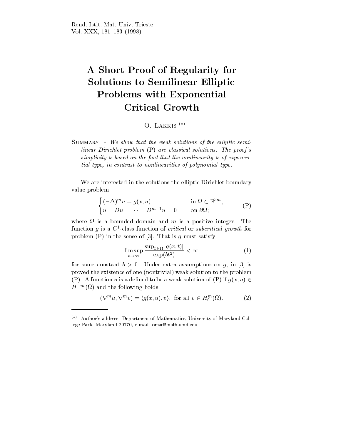## A Short Proof of Regularity for Solutions to Semilinear Elliptic Problems with Exponential

## O. LAKKIS $(*)$

SUMMARY. - We show that the weak solutions of the elliptic semilinear Dirichlet problem (P) are classical solutions. The proof 's simplicity is based on the fact that the nonlinearity is of exponential type, in contrast to nonlinearities of polynomial type.

We are interested in the solutions the elliptic Dirichlet boundary value problem

$$
\begin{cases}\n(-\Delta)^m u = g(x, u) & \text{in } \Omega \subset \mathbb{R}^{2m}, \\
u = Du = \dots = D^{m-1} u = 0 & \text{on } \partial \Omega;\n\end{cases} \tag{P}
$$

where is a bounded domain and m is a positive integer. The m function q is a  $C$ -class function of *critical* of *subcritical growth* for problem  $(P)$  in the sense of [3]. That is g must satisfy

$$
\limsup_{t \to \infty} \frac{\sup_{x \in \Omega} |g(x, t)|}{\exp(bt^2)} < \infty \tag{1}
$$

for some constant  $b > 0$ . Under extra assumptions on g, in [3] is proved the existence of one (nontrivial) weak solution to the problem (P). A function u is a defined to be a weak solution of (P) if  $g(x, u) \in$  $H^{\circ\circ}$  (M) and the following holds

$$
(\nabla^m u, \nabla^m v) = \langle g(x, u), v \rangle, \text{ for all } v \in H_0^m(\Omega). \tag{2}
$$

 $(*)$  Author's address: Department of Mathematics, University of Maryland College Park, Maryland 20770, e-mail: omar@math.umd.edu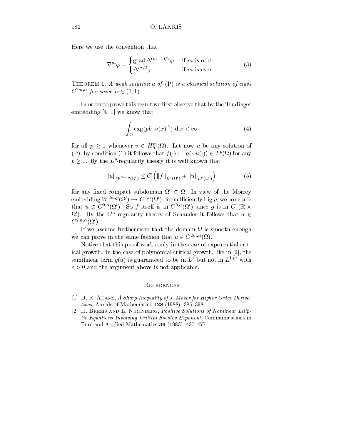Here we use the convention that

$$
\nabla^{m}\varphi = \begin{cases} \text{grad}\,\Delta^{(m-1)/2}\varphi & \text{if } m \text{ is odd,} \\ \Delta^{m/2}\varphi & \text{if } m \text{ is even.} \end{cases} \tag{3}
$$

THEOREM 1. A weak solution  $u$  of  $(P)$  is a classical solution of class  $\cup$  /  $\cup$  for some  $\alpha \in$  (0, 1).

In order to prove this result we first observe that by the Trudinger embedding [4, 1] we know that

$$
\int_{\Omega} \exp(p b \, |v(x)|^2) \, \mathrm{d} \, x < \infty \tag{4}
$$

for all  $p \geq 1$  whenever  $v \in H_0^{\infty}(\Omega)$ . Let now u be any solution of  $(\Gamma)$ , by condition (1) it follows that  $f(\cdot) := g(\cdot, u(\cdot)) \in L^r(M)$  for any  $p > 1$ . By the  $L^r$ -regularity theory it is well known that

$$
||u||_{W^{2m,p}(\Omega')} \leq C \left( ||f||_{L^p(\Omega')} + ||u||_{L^p(\Omega')} \right) \tag{5}
$$

for any fixed compact subdomain  $\Omega \subset \Omega$ . In view of the Morrey embedding W $\longrightarrow$  (5),  $\rightarrow$  C  $\rightarrow$  (5), for sumclemity big p, we conclude that  $u \in C^{\gamma, \infty}(\Omega)$ . So f itself is in  $C^{\gamma, \infty}(\Omega)$  since q is in  $C^{\gamma}(\mathbb{R} \times \mathbb{R}^2)$  $\Omega$  ). By the C-regularity theory of Schauder it follows that  $u \in \Omega$  $\mathbf{C}$  and  $\mathbf{C}$  and  $\mathbf{C}$  and  $\mathbf{C}$ 

if we assume that the domain that the domain is smooth that the domain  $\eta$ we can prove in the same fashion that  $u \in C$  (i.e.,  $\{v_i\}$ ).

Notice that this proof works only in the case of exponential critical growth. In the case of polynomial critical growth, like in [2], the semilinear term  $g(u)$  is guaranteed to be in  $L^1$  but not in  $L^{1+\epsilon}$  with  $\epsilon > 0$  and the argument above is not applicable.

## **REFERENCES**

- [1] D. R. ADAMS, A Sharp Inequality of J. Moser for Higher Order Derivatives, Annals of Mathematics  $128$  (1988), 385-398.
- [2] H. BREZIS AND L. NIRENBERG, Positive Solutions of Nonlinear Elliptic Equations Involving Critical Sobolev Exponent, Communications in Pure and Applied Mathematics  $36$  (1983), 437-477.